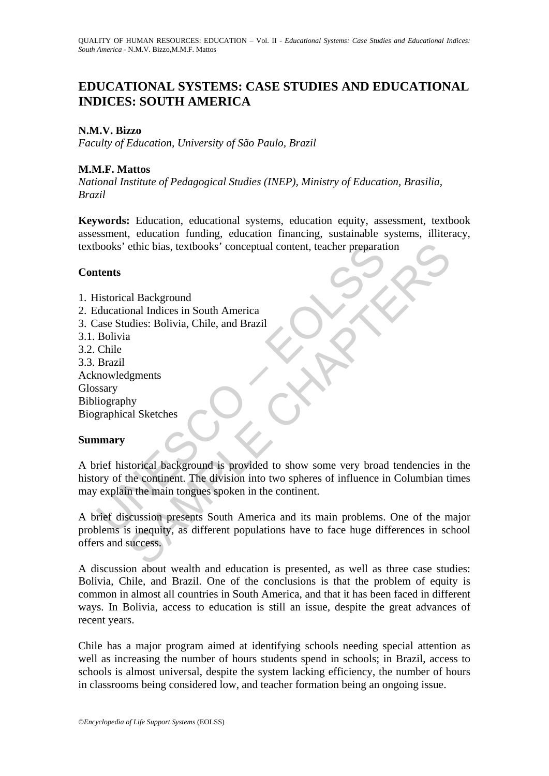# **EDUCATIONAL SYSTEMS: CASE STUDIES AND EDUCATIONAL INDICES: SOUTH AMERICA**

# **N.M.V. Bizzo**

*Faculty of Education, University of São Paulo, Brazil* 

# **M.M.F. Mattos**

*National Institute of Pedagogical Studies (INEP), Ministry of Education, Brasilia, Brazil* 

**Keywords:** Education, educational systems, education equity, assessment, textbook assessment, education funding, education financing, sustainable systems, illiteracy, textbooks' ethic bias, textbooks' conceptual content, teacher preparation

# **Contents**

- 1. Historical Background
- 2. Educational Indices in South America
- 3. Case Studies: Bolivia, Chile, and Brazil
- 3.1. Bolivia
- 3.2. Chile
- 3.3. Brazil Acknowledgments Glossary Bibliography Biographical Sketches

## **Summary**

books' ethic bias, textbooks' conceptual content, teacher preparations<br>
<br>
Intents<br>
Intentional Background<br>

Univial Chiences in South America<br>

<br>
Chiences Studies: Bolivia, Chile, and Brazil<br>

Bolivia<br>
Chiences<br>
Chiences<br> ethic bias, textbooks' conceptual content, teacher preparation<br>
al Background<br>
al Background<br>
a<br>
a<br>
a<br>
gments<br>
by<br>
al Sketches<br>
starting and Background is provided to show some very broad tendencies in<br>
torical background A brief historical background is provided to show some very broad tendencies in the history of the continent. The division into two spheres of influence in Columbian times may explain the main tongues spoken in the continent.

A brief discussion presents South America and its main problems. One of the major problems is inequity, as different populations have to face huge differences in school offers and success.

A discussion about wealth and education is presented, as well as three case studies: Bolivia, Chile, and Brazil. One of the conclusions is that the problem of equity is common in almost all countries in South America, and that it has been faced in different ways. In Bolivia, access to education is still an issue, despite the great advances of recent years.

Chile has a major program aimed at identifying schools needing special attention as well as increasing the number of hours students spend in schools; in Brazil, access to schools is almost universal, despite the system lacking efficiency, the number of hours in classrooms being considered low, and teacher formation being an ongoing issue.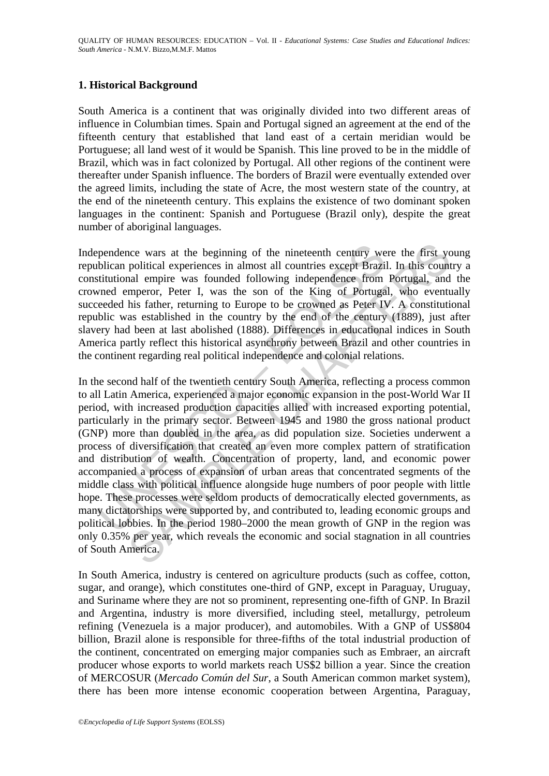# **1. Historical Background**

South America is a continent that was originally divided into two different areas of influence in Columbian times. Spain and Portugal signed an agreement at the end of the fifteenth century that established that land east of a certain meridian would be Portuguese; all land west of it would be Spanish. This line proved to be in the middle of Brazil, which was in fact colonized by Portugal. All other regions of the continent were thereafter under Spanish influence. The borders of Brazil were eventually extended over the agreed limits, including the state of Acre, the most western state of the country, at the end of the nineteenth century. This explains the existence of two dominant spoken languages in the continent: Spanish and Portuguese (Brazil only), despite the great number of aboriginal languages.

Independence wars at the beginning of the nineteenth century were the first young republican political experiences in almost all countries except Brazil. In this country a constitutional empire was founded following independence from Portugal, and the crowned emperor, Peter I, was the son of the King of Portugal, who eventually succeeded his father, returning to Europe to be crowned as Peter IV. A constitutional republic was established in the country by the end of the century (1889), just after slavery had been at last abolished (1888). Differences in educational indices in South America partly reflect this historical asynchrony between Brazil and other countries in the continent regarding real political independence and colonial relations.

pendence wars at the beginning of the nineteenth century we<br>bilican political experiences in almost all countries except Brazi<br>stitutional empire was founded following independence from<br>med emperor, Peter I, was the son of nce wars at the beginning of the nineteenth century were the first y political experiences in almost all countries except Brazil. In this count<br>all empire was founded following independence from Portugal, and<br>mentror, Pete In the second half of the twentieth century South America, reflecting a process common to all Latin America, experienced a major economic expansion in the post-World War II period, with increased production capacities allied with increased exporting potential, particularly in the primary sector. Between 1945 and 1980 the gross national product (GNP) more than doubled in the area, as did population size. Societies underwent a process of diversification that created an even more complex pattern of stratification and distribution of wealth. Concentration of property, land, and economic power accompanied a process of expansion of urban areas that concentrated segments of the middle class with political influence alongside huge numbers of poor people with little hope. These processes were seldom products of democratically elected governments, as many dictatorships were supported by, and contributed to, leading economic groups and political lobbies. In the period 1980–2000 the mean growth of GNP in the region was only 0.35% per year, which reveals the economic and social stagnation in all countries of South America.

In South America, industry is centered on agriculture products (such as coffee, cotton, sugar, and orange), which constitutes one-third of GNP, except in Paraguay, Uruguay, and Suriname where they are not so prominent, representing one-fifth of GNP. In Brazil and Argentina, industry is more diversified, including steel, metallurgy, petroleum refining (Venezuela is a major producer), and automobiles. With a GNP of US\$804 billion, Brazil alone is responsible for three-fifths of the total industrial production of the continent, concentrated on emerging major companies such as Embraer, an aircraft producer whose exports to world markets reach US\$2 billion a year. Since the creation of MERCOSUR (*Mercado Común del Sur*, a South American common market system), there has been more intense economic cooperation between Argentina, Paraguay,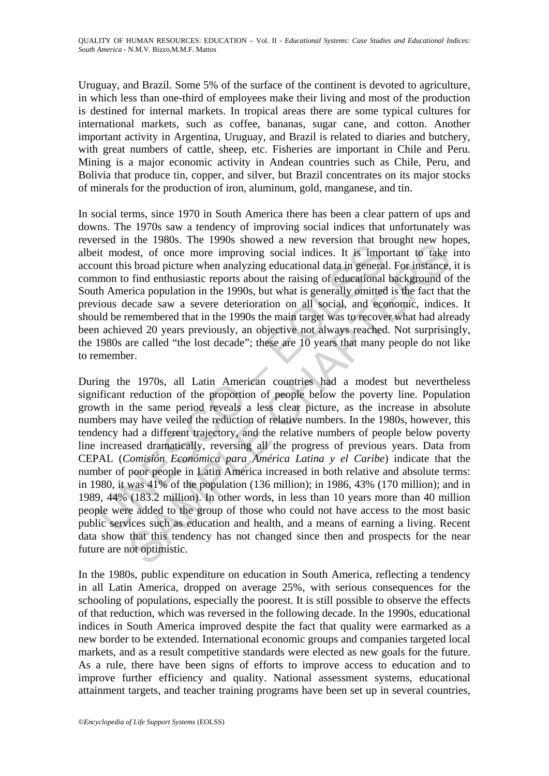Uruguay, and Brazil. Some 5% of the surface of the continent is devoted to agriculture, in which less than one-third of employees make their living and most of the production is destined for internal markets. In tropical areas there are some typical cultures for international markets, such as coffee, bananas, sugar cane, and cotton. Another important activity in Argentina, Uruguay, and Brazil is related to diaries and butchery, with great numbers of cattle, sheep, etc. Fisheries are important in Chile and Peru. Mining is a major economic activity in Andean countries such as Chile, Peru, and Bolivia that produce tin, copper, and silver, but Brazil concentrates on its major stocks of minerals for the production of iron, aluminum, gold, manganese, and tin.

In social terms, since 1970 in South America there has been a clear pattern of ups and downs. The 1970s saw a tendency of improving social indices that unfortunately was reversed in the 1980s. The 1990s showed a new reversion that brought new hopes, albeit modest, of once more improving social indices. It is important to take into account this broad picture when analyzing educational data in general. For instance, it is common to find enthusiastic reports about the raising of educational background of the South America population in the 1990s, but what is generally omitted is the fact that the previous decade saw a severe deterioration on all social, and economic, indices. It should be remembered that in the 1990s the main target was to recover what had already been achieved 20 years previously, an objective not always reached. Not surprisingly, the 1980s are called "the lost decade"; these are 10 years that many people do not like to remember.

since in the Foots. The Foother in the real during that once the term in the real during of educational data in general mon to find enthusiastic reports about the raising of educational the America population in the 1990s For the 1700s. In the 1700s and we returns around and the mean to depth the mean to depth the shotd picture when analyzing educational data in general. For instance, shotd picture when analyzing educational data in genera During the 1970s, all Latin American countries had a modest but nevertheless significant reduction of the proportion of people below the poverty line. Population growth in the same period reveals a less clear picture, as the increase in absolute numbers may have veiled the reduction of relative numbers. In the 1980s, however, this tendency had a different trajectory, and the relative numbers of people below poverty line increased dramatically, reversing all the progress of previous years. Data from CEPAL (*Comisión Económica para América Latina y el Caribe*) indicate that the number of poor people in Latin America increased in both relative and absolute terms: in 1980, it was 41% of the population (136 million); in 1986, 43% (170 million); and in 1989, 44% (183.2 million). In other words, in less than 10 years more than 40 million people were added to the group of those who could not have access to the most basic public services such as education and health, and a means of earning a living. Recent data show that this tendency has not changed since then and prospects for the near future are not optimistic.

In the 1980s, public expenditure on education in South America, reflecting a tendency in all Latin America, dropped on average 25%, with serious consequences for the schooling of populations, especially the poorest. It is still possible to observe the effects of that reduction, which was reversed in the following decade. In the 1990s, educational indices in South America improved despite the fact that quality were earmarked as a new border to be extended. International economic groups and companies targeted local markets, and as a result competitive standards were elected as new goals for the future. As a rule, there have been signs of efforts to improve access to education and to improve further efficiency and quality. National assessment systems, educational attainment targets, and teacher training programs have been set up in several countries,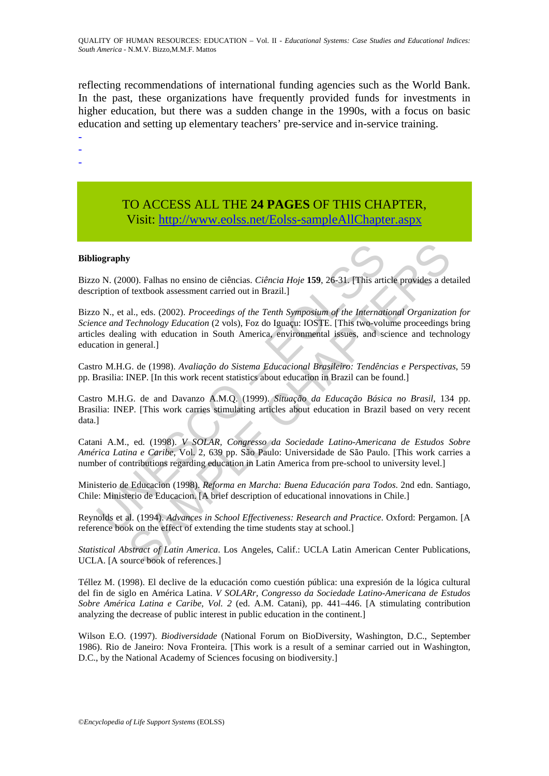reflecting recommendations of international funding agencies such as the World Bank. In the past, these organizations have frequently provided funds for investments in higher education, but there was a sudden change in the 1990s, with a focus on basic education and setting up elementary teachers' pre-service and in-service training.

-

- -

> TO ACCESS ALL THE **24 PAGES** OF THIS CHAPTER, Visit[: http://www.eolss.net/Eolss-sampleAllChapter.aspx](https://www.eolss.net/ebooklib/sc_cart.aspx?File=E1-12-04-03)

### **Bibliography**

Bizzo N. (2000). Falhas no ensino de ciências. *Ciência Hoje* **159**, 26-31. [This article provides a detailed description of textbook assessment carried out in Brazil.]

**iography**<br>
10 o N. (2000). Falhas no ensino de ciências. *Ciência Hoje* 159, 26-31. [This artipition of textbook assessment carried out in Brazil.]<br>
10 N., et al., eds. (2002). *Proceedings of the Tenth Symposium of the I* **S**<br>
SCOMPTON TRANS AND CONDIGITED CONDIGITED (SCONDIGITED FOR SURFACT CONDIGITED FOR SURFACT (2003). Proceeding SCOND Conditions of the International Organization<br>
and, e.g. (2002). Proceedings of the Tenth Symposium of Bizzo N., et al., eds. (2002). *Proceedings of the Tenth Symposium of the International Organization for Science and Technology Education* (2 vols), Foz do Iguaçu: IOSTE. [This two-volume proceedings bring articles dealing with education in South America, environmental issues, and science and technology education in general.]

Castro M.H.G. de (1998). *Avaliação do Sistema Educacional Brasileiro: Tendências e Perspectivas*, 59 pp. Brasilia: INEP. [In this work recent statistics about education in Brazil can be found.]

Castro M.H.G. de and Davanzo A.M.Q. (1999). *Situação da Educação Básica no Brasil*, 134 pp. Brasilia: INEP. [This work carries stimulating articles about education in Brazil based on very recent data.]

Catani A.M., ed. (1998). *V SOLAR, Congresso da Sociedade Latino-Americana de Estudos Sobre América Latina e Caribe*, Vol. 2, 639 pp. São Paulo: Universidade de São Paulo. [This work carries a number of contributions regarding education in Latin America from pre-school to university level.]

Ministerio de Educacion (1998). *Reforma en Marcha: Buena Educación para Todos*. 2nd edn. Santiago, Chile: Ministerio de Educacion. [A brief description of educational innovations in Chile.]

Reynolds et al. (1994). *Advances in School Effectiveness: Research and Practice*. Oxford: Pergamon. [A reference book on the effect of extending the time students stay at school.]

*Statistical Abstract of Latin America*. Los Angeles, Calif.: UCLA Latin American Center Publications, UCLA. [A source book of references.]

Téllez M. (1998). El declive de la educación como cuestión pública: una expresión de la lógica cultural del fin de siglo en América Latina. *V SOLARr, Congresso da Sociedade Latino-Americana de Estudos Sobre América Latina e Caribe, Vol. 2* (ed. A.M. Catani), pp. 441–446. [A stimulating contribution analyzing the decrease of public interest in public education in the continent.]

Wilson E.O. (1997). *Biodiversidade* (National Forum on BioDiversity, Washington, D.C., September 1986). Rio de Janeiro: Nova Fronteira. [This work is a result of a seminar carried out in Washington, D.C., by the National Academy of Sciences focusing on biodiversity.]